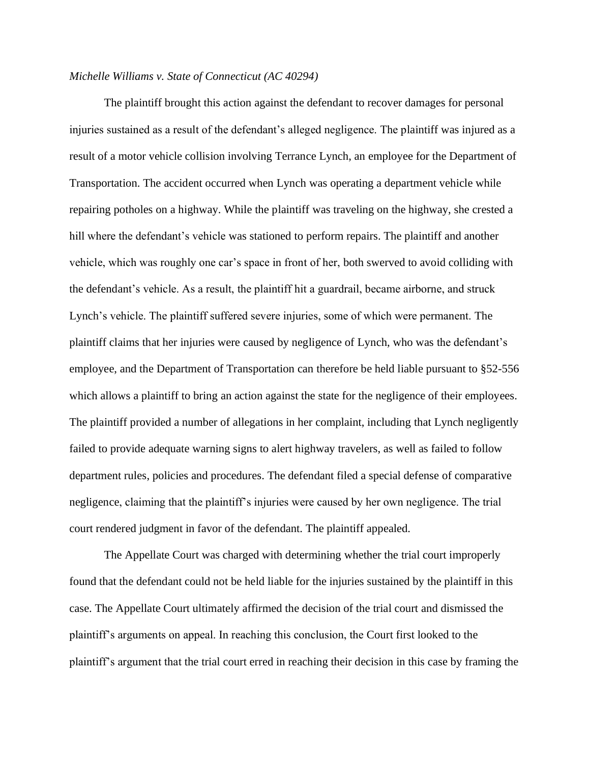## *Michelle Williams v. State of Connecticut (AC 40294)*

The plaintiff brought this action against the defendant to recover damages for personal injuries sustained as a result of the defendant's alleged negligence. The plaintiff was injured as a result of a motor vehicle collision involving Terrance Lynch, an employee for the Department of Transportation. The accident occurred when Lynch was operating a department vehicle while repairing potholes on a highway. While the plaintiff was traveling on the highway, she crested a hill where the defendant's vehicle was stationed to perform repairs. The plaintiff and another vehicle, which was roughly one car's space in front of her, both swerved to avoid colliding with the defendant's vehicle. As a result, the plaintiff hit a guardrail, became airborne, and struck Lynch's vehicle. The plaintiff suffered severe injuries, some of which were permanent. The plaintiff claims that her injuries were caused by negligence of Lynch, who was the defendant's employee, and the Department of Transportation can therefore be held liable pursuant to §52-556 which allows a plaintiff to bring an action against the state for the negligence of their employees. The plaintiff provided a number of allegations in her complaint, including that Lynch negligently failed to provide adequate warning signs to alert highway travelers, as well as failed to follow department rules, policies and procedures. The defendant filed a special defense of comparative negligence, claiming that the plaintiff's injuries were caused by her own negligence. The trial court rendered judgment in favor of the defendant. The plaintiff appealed.

The Appellate Court was charged with determining whether the trial court improperly found that the defendant could not be held liable for the injuries sustained by the plaintiff in this case. The Appellate Court ultimately affirmed the decision of the trial court and dismissed the plaintiff's arguments on appeal. In reaching this conclusion, the Court first looked to the plaintiff's argument that the trial court erred in reaching their decision in this case by framing the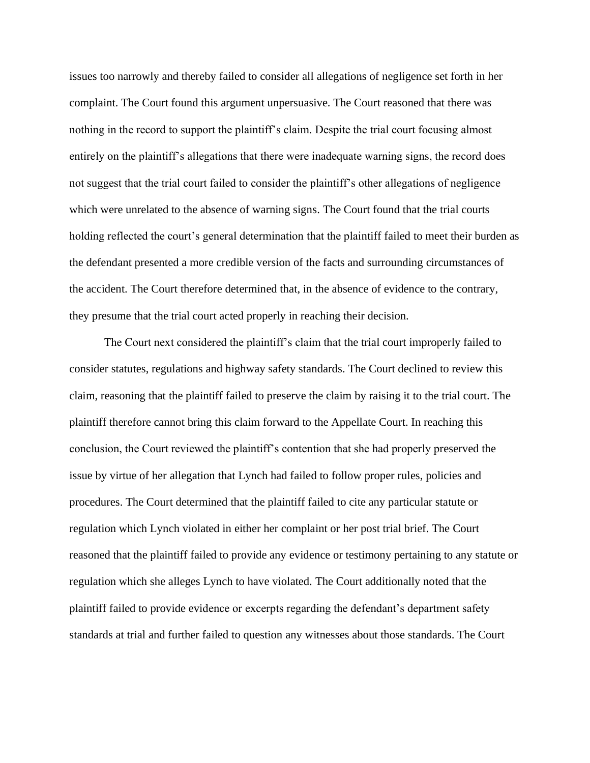issues too narrowly and thereby failed to consider all allegations of negligence set forth in her complaint. The Court found this argument unpersuasive. The Court reasoned that there was nothing in the record to support the plaintiff's claim. Despite the trial court focusing almost entirely on the plaintiff's allegations that there were inadequate warning signs, the record does not suggest that the trial court failed to consider the plaintiff's other allegations of negligence which were unrelated to the absence of warning signs. The Court found that the trial courts holding reflected the court's general determination that the plaintiff failed to meet their burden as the defendant presented a more credible version of the facts and surrounding circumstances of the accident. The Court therefore determined that, in the absence of evidence to the contrary, they presume that the trial court acted properly in reaching their decision.

The Court next considered the plaintiff's claim that the trial court improperly failed to consider statutes, regulations and highway safety standards. The Court declined to review this claim, reasoning that the plaintiff failed to preserve the claim by raising it to the trial court. The plaintiff therefore cannot bring this claim forward to the Appellate Court. In reaching this conclusion, the Court reviewed the plaintiff's contention that she had properly preserved the issue by virtue of her allegation that Lynch had failed to follow proper rules, policies and procedures. The Court determined that the plaintiff failed to cite any particular statute or regulation which Lynch violated in either her complaint or her post trial brief. The Court reasoned that the plaintiff failed to provide any evidence or testimony pertaining to any statute or regulation which she alleges Lynch to have violated. The Court additionally noted that the plaintiff failed to provide evidence or excerpts regarding the defendant's department safety standards at trial and further failed to question any witnesses about those standards. The Court